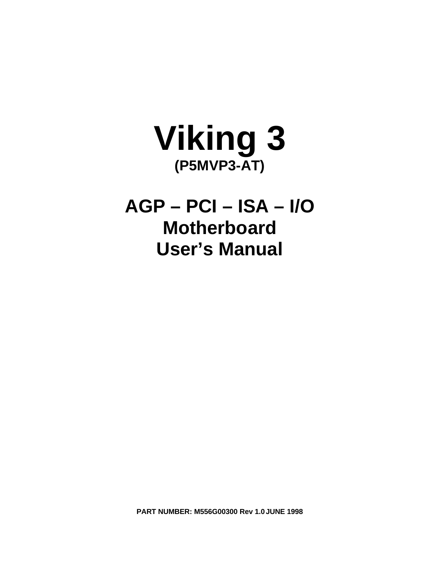

**AGP – PCI – ISA – I/O Motherboard User's Manual**

**PART NUMBER: M556G00300 Rev 1.0JUNE 1998**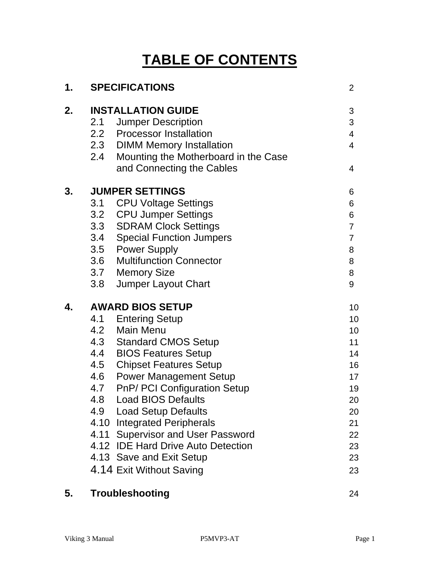# **TABLE OF CONTENTS**

| 1. |     | <b>SPECIFICATIONS</b>                    | 2              |
|----|-----|------------------------------------------|----------------|
| 2. |     | <b>INSTALLATION GUIDE</b>                | 3              |
|    | 2.1 | <b>Jumper Description</b>                | 3              |
|    |     | 2.2 Processor Installation               | 4              |
|    |     | 2.3 DIMM Memory Installation             | $\overline{4}$ |
|    |     | 2.4 Mounting the Motherboard in the Case |                |
|    |     | and Connecting the Cables                | 4              |
| 3. |     | <b>JUMPER SETTINGS</b>                   | 6              |
|    | 3.1 | <b>CPU Voltage Settings</b>              | 6              |
|    |     | 3.2 CPU Jumper Settings                  | 6              |
|    |     | 3.3 SDRAM Clock Settings                 | $\overline{7}$ |
|    |     | 3.4 Special Function Jumpers             | $\overline{7}$ |
|    |     | 3.5 Power Supply                         | 8              |
|    |     | 3.6 Multifunction Connector              | 8              |
|    |     | 3.7 Memory Size                          | 8              |
|    | 3.8 | Jumper Layout Chart                      | 9              |
| 4. |     | <b>AWARD BIOS SETUP</b>                  | 10             |
|    |     | 4.1 Entering Setup                       | 10             |
|    |     | 4.2 Main Menu                            | 10             |
|    |     | 4.3 Standard CMOS Setup                  | 11             |
|    |     | 4.4 BIOS Features Setup                  | 14             |
|    | 4.5 | <b>Chipset Features Setup</b>            | 16             |
|    |     | 4.6 Power Management Setup               | 17             |
|    |     | 4.7 PnP/ PCI Configuration Setup         | 19             |
|    | 4.8 | <b>Load BIOS Defaults</b>                | 20             |
|    | 4.9 | <b>Load Setup Defaults</b>               | 20             |
|    |     | 4.10 Integrated Peripherals              | 21             |
|    |     | 4.11 Supervisor and User Password        | 22             |
|    |     | 4.12 IDE Hard Drive Auto Detection       | 23             |
|    |     | 4.13 Save and Exit Setup                 | 23             |
|    |     | 4.14 Exit Without Saving                 | 23             |
|    |     |                                          |                |

## **5. Troubleshooting** 24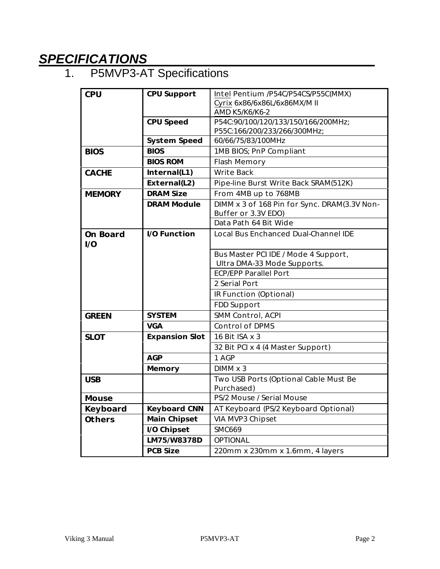# *SPECIFICATIONS*

## 1. P5MVP3-AT Specifications

| <b>CPU</b>      | <b>CPU Support</b>    | Intel Pentium /P54C/P54CS/P55C(MMX)          |
|-----------------|-----------------------|----------------------------------------------|
|                 |                       | Cyrix 6x86/6x86L/6x86MX/M II                 |
|                 |                       | AMD K5/K6/K6-2                               |
|                 | <b>CPU Speed</b>      | P54C:90/100/120/133/150/166/200MHz;          |
|                 |                       | P55C:166/200/233/266/300MHz;                 |
|                 | <b>System Speed</b>   | 60/66/75/83/100MHz                           |
| <b>BIOS</b>     | <b>BIOS</b>           | 1MB BIOS; PnP Compliant                      |
|                 | <b>BIOS ROM</b>       | Flash Memory                                 |
| <b>CACHE</b>    | Internal(L1)          | <b>Write Back</b>                            |
|                 | External(L2)          | Pipe-line Burst Write Back SRAM(512K)        |
| <b>MEMORY</b>   | <b>DRAM Size</b>      | From 4MB up to 768MB                         |
|                 | <b>DRAM Module</b>    | DIMM x 3 of 168 Pin for Sync. DRAM(3.3V Non- |
|                 |                       | Buffer or 3.3V EDO)                          |
|                 |                       | Data Path 64 Bit Wide                        |
| <b>On Board</b> | <b>I/O Function</b>   | <b>Local Bus Enchanced Dual-Channel IDE</b>  |
| 1/O             |                       |                                              |
|                 |                       | Bus Master PCI IDE / Mode 4 Support,         |
|                 |                       | Ultra DMA-33 Mode Supports.                  |
|                 |                       | <b>ECP/EPP Parallel Port</b>                 |
|                 |                       | 2 Serial Port                                |
|                 |                       | IR Function (Optional)                       |
|                 |                       | FDD Support                                  |
| <b>GREEN</b>    | <b>SYSTEM</b>         | SMM Control, ACPI                            |
|                 | <b>VGA</b>            | <b>Control of DPMS</b>                       |
| <b>SLOT</b>     | <b>Expansion Slot</b> | 16 Bit ISA x 3                               |
|                 |                       | 32 Bit PCI x 4 (4 Master Support)            |
|                 | <b>AGP</b>            | 1 AGP                                        |
|                 | <b>Memory</b>         | DIMM x 3                                     |
| <b>USB</b>      |                       | Two USB Ports (Optional Cable Must Be        |
|                 |                       | Purchased)                                   |
| <b>Mouse</b>    |                       | PS/2 Mouse / Serial Mouse                    |
| Keyboard        | <b>Keyboard CNN</b>   | AT Keyboard (PS/2 Keyboard Optional)         |
| <b>Others</b>   | <b>Main Chipset</b>   | VIA MVP3 Chipset                             |
|                 | I/O Chipset           | <b>SMC669</b>                                |
|                 | LM75/W8378D           | <b>OPTIONAL</b>                              |
|                 | <b>PCB Size</b>       | 220mm x 230mm x 1.6mm, 4 layers              |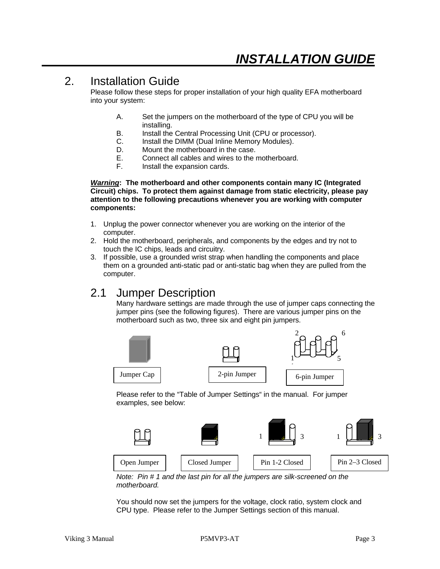## 2. Installation Guide

Please follow these steps for proper installation of your high quality EFA motherboard into your system:

- A. Set the jumpers on the motherboard of the type of CPU you will be installing.
- B. Install the Central Processing Unit (CPU or processor).
- C. Install the DIMM (Dual Inline Memory Modules).
- D. Mount the motherboard in the case.
- E. Connect all cables and wires to the motherboard.
- F. Install the expansion cards.

*Warning***: The motherboard and other components contain many IC (Integrated Circuit) chips. To protect them against damage from static electricity, please pay attention to the following precautions whenever you are working with computer components:**

- 1. Unplug the power connector whenever you are working on the interior of the computer.
- 2. Hold the motherboard, peripherals, and components by the edges and try not to touch the IC chips, leads and circuitry.
- 3. If possible, use a grounded wrist strap when handling the components and place them on a grounded anti-static pad or anti-static bag when they are pulled from the computer.

## 2.1 Jumper Description

Many hardware settings are made through the use of jumper caps connecting the jumper pins (see the following figures). There are various jumper pins on the motherboard such as two, three six and eight pin jumpers.



Please refer to the "Table of Jumper Settings" in the manual. For jumper examples, see below:



*Note: Pin # 1 and the last pin for all the jumpers are silk-screened on the motherboard.*

You should now set the jumpers for the voltage, clock ratio, system clock and CPU type. Please refer to the Jumper Settings section of this manual.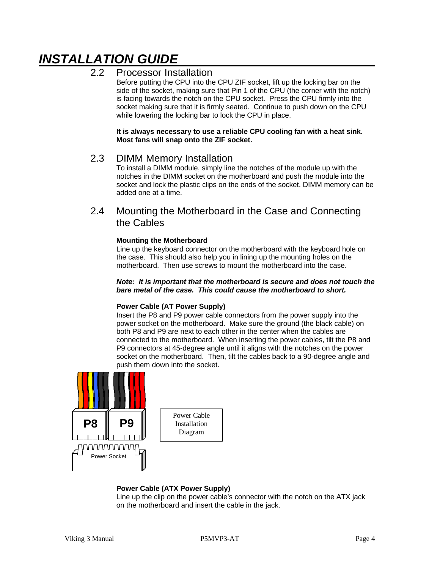# *INSTALLATION GUIDE*

### 2.2 Processor Installation

Before putting the CPU into the CPU ZIF socket, lift up the locking bar on the side of the socket, making sure that Pin 1 of the CPU (the corner with the notch) is facing towards the notch on the CPU socket. Press the CPU firmly into the socket making sure that it is firmly seated. Continue to push down on the CPU while lowering the locking bar to lock the CPU in place.

**It is always necessary to use a reliable CPU cooling fan with a heat sink. Most fans will snap onto the ZIF socket.**

### 2.3 DIMM Memory Installation

To install a DIMM module, simply line the notches of the module up with the notches in the DIMM socket on the motherboard and push the module into the socket and lock the plastic clips on the ends of the socket. DIMM memory can be added one at a time.

### 2.4 Mounting the Motherboard in the Case and Connecting the Cables

#### **Mounting the Motherboard**

Line up the keyboard connector on the motherboard with the keyboard hole on the case. This should also help you in lining up the mounting holes on the motherboard. Then use screws to mount the motherboard into the case.

#### *Note: It is important that the motherboard is secure and does not touch the bare metal of the case. This could cause the motherboard to short.*

#### **Power Cable (AT Power Supply)**

Insert the P8 and P9 power cable connectors from the power supply into the power socket on the motherboard. Make sure the ground (the black cable) on both P8 and P9 are next to each other in the center when the cables are connected to the motherboard. When inserting the power cables, tilt the P8 and P9 connectors at 45-degree angle until it aligns with the notches on the power socket on the motherboard. Then, tilt the cables back to a 90-degree angle and push them down into the socket.



### **Power Cable (ATX Power Supply)**

Line up the clip on the power cable's connector with the notch on the ATX jack on the motherboard and insert the cable in the jack.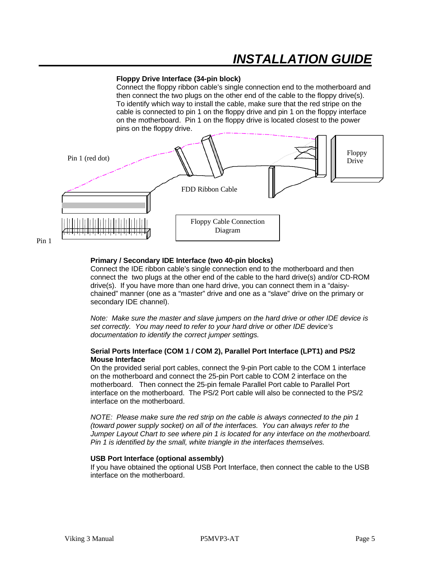# *INSTALLATION GUIDE*

#### **Floppy Drive Interface (34-pin block)**

Connect the floppy ribbon cable's single connection end to the motherboard and then connect the two plugs on the other end of the cable to the floppy drive(s). To identify which way to install the cable, make sure that the red stripe on the cable is connected to pin 1 on the floppy drive and pin 1 on the floppy interface on the motherboard. Pin 1 on the floppy drive is located closest to the power pins on the floppy drive.



#### **Primary / Secondary IDE Interface (two 40-pin blocks)**

Connect the IDE ribbon cable's single connection end to the motherboard and then connect the two plugs at the other end of the cable to the hard drive(s) and/or CD-ROM drive(s). If you have more than one hard drive, you can connect them in a "daisychained" manner (one as a "master" drive and one as a "slave" drive on the primary or secondary IDE channel).

*Note: Make sure the master and slave jumpers on the hard drive or other IDE device is set correctly. You may need to refer to your hard drive or other IDE device's documentation to identify the correct jumper settings.*

#### **Serial Ports Interface (COM 1 / COM 2), Parallel Port Interface (LPT1) and PS/2 Mouse Interface**

On the provided serial port cables, connect the 9-pin Port cable to the COM 1 interface on the motherboard and connect the 25-pin Port cable to COM 2 interface on the motherboard. Then connect the 25-pin female Parallel Port cable to Parallel Port interface on the motherboard. The PS/2 Port cable will also be connected to the PS/2 interface on the motherboard.

*NOTE: Please make sure the red strip on the cable is always connected to the pin 1 (toward power supply socket) on all of the interfaces. You can always refer to the Jumper Layout Chart to see where pin 1 is located for any interface on the motherboard. Pin 1 is identified by the small, white triangle in the interfaces themselves.*

#### **USB Port Interface (optional assembly)**

If you have obtained the optional USB Port Interface, then connect the cable to the USB interface on the motherboard.

Pin 1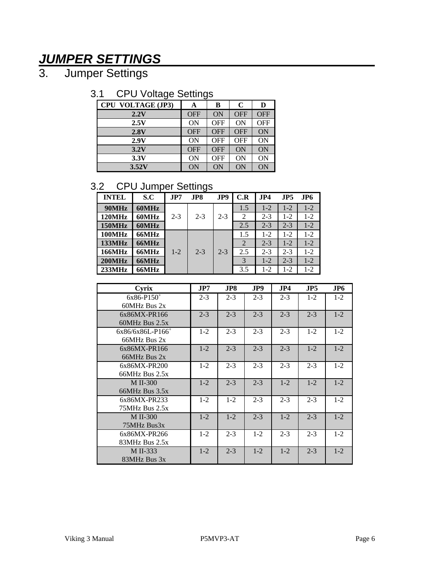# *JUMPER SETTINGS*

3. Jumper Settings

## 3.1 CPU Voltage Settings

| ັ                        | ັ          |            |             |            |
|--------------------------|------------|------------|-------------|------------|
| <b>CPU VOLTAGE (JP3)</b> | A          | в          | $\mathbf C$ | D          |
| 2.2V                     | <b>OFF</b> | ON         | <b>OFF</b>  | <b>OFF</b> |
| 2.5V                     | <b>ON</b>  | <b>OFF</b> | ON          | <b>OFF</b> |
| 2.8V                     | <b>OFF</b> | <b>OFF</b> | <b>OFF</b>  | ON         |
| 2.9V                     | <b>ON</b>  | <b>OFF</b> | <b>OFF</b>  | ON         |
| 3.2V                     | <b>OFF</b> | <b>OFF</b> | ON          | ON         |
| 3.3V                     | <b>ON</b>  | <b>OFF</b> | ON          | ON         |
| 3.52V                    | ON         | ON         | ON          | ON         |

## 3.2 CPU Jumper Settings

| <b>INTEL</b>  | S.C   | JPT     | JP8     | JP9     | C.R | JP4     | JP5     | JP6     |
|---------------|-------|---------|---------|---------|-----|---------|---------|---------|
| 90MHz         | 60MHz |         |         |         | 1.5 | $1 - 2$ | $1 - 2$ | $1 - 2$ |
| 120MHz        | 60MHz | $2 - 3$ | $2 - 3$ | $2 - 3$ | 2   | $2 - 3$ | $1 - 2$ | $1 - 2$ |
| <b>150MHz</b> | 60MHz |         |         |         | 2.5 | $2 - 3$ | $2 - 3$ | $1-2$   |
| <b>100MHz</b> | 66MHz |         |         |         | 1.5 | $1 - 2$ | $1-2$   | $1 - 2$ |
| 133MHz        | 66MHz |         |         |         | 2   | $2 - 3$ | $1 - 2$ | $1-2$   |
| <b>166MHz</b> | 66MHz | $1 - 2$ | $2 - 3$ | $2 - 3$ | 2.5 | $2 - 3$ | $2 - 3$ | $1 - 2$ |
| <b>200MHz</b> | 66MHz |         |         |         | 3   | $1 - 2$ | $2 - 3$ | $1-2$   |
| 233MHz        | 66MHz |         |         |         | 3.5 | $1 - 2$ | $1-2$   | $1 - 2$ |

| Cyrix                          | JPT     | JP8     | JP9     | JP4     | JP5     | JP6     |
|--------------------------------|---------|---------|---------|---------|---------|---------|
| $6x86 - P150^{+}$              | $2 - 3$ | $2 - 3$ | $2 - 3$ | $2 - 3$ | $1-2$   | $1 - 2$ |
| 60MHz Bus 2x                   |         |         |         |         |         |         |
| $6x86MX-PR166$                 | $2 - 3$ | $2 - 3$ | $2 - 3$ | $2 - 3$ | $2 - 3$ | $1 - 2$ |
| $60MHz$ Bus $2.5x$             |         |         |         |         |         |         |
| $6x86/6x86L-P166$ <sup>+</sup> | $1 - 2$ | $2 - 3$ | $2 - 3$ | $2 - 3$ | $1 - 2$ | $1 - 2$ |
| 66MHz Bus 2x                   |         |         |         |         |         |         |
| 6x86MX-PR166                   | $1 - 2$ | $2 - 3$ | $2 - 3$ | $2 - 3$ | $1 - 2$ | $1 - 2$ |
| 66MHz Bus 2x                   |         |         |         |         |         |         |
| $6x86MX-PR200$                 | $1 - 2$ | $2 - 3$ | $2 - 3$ | $2 - 3$ | $2 - 3$ | $1 - 2$ |
| $66MHz$ Bus $2.5x$             |         |         |         |         |         |         |
| <b>M II-300</b>                | $1 - 2$ | $2 - 3$ | $2 - 3$ | $1 - 2$ | $1 - 2$ | $1 - 2$ |
| $66MHz$ Bus $3.5x$             |         |         |         |         |         |         |
| 6x86MX-PR233                   | $1 - 2$ | $1-2$   | $2 - 3$ | $2 - 3$ | $2 - 3$ | $1 - 2$ |
| $75MHz$ Bus $2.5x$             |         |         |         |         |         |         |
| M II-300                       | $1 - 2$ | $1 - 2$ | $2 - 3$ | $1 - 2$ | $2 - 3$ | $1 - 2$ |
| 75MHz Bus3x                    |         |         |         |         |         |         |
| 6x86MX-PR266                   | $1 - 2$ | $2 - 3$ | $1-2$   | $2 - 3$ | $2 - 3$ | $1 - 2$ |
| 83MHz Bus 2.5x                 |         |         |         |         |         |         |
| $M$ II-333                     | $1 - 2$ | $2 - 3$ | $1 - 2$ | $1 - 2$ | $2 - 3$ | $1 - 2$ |
| 83MHz Bus 3x                   |         |         |         |         |         |         |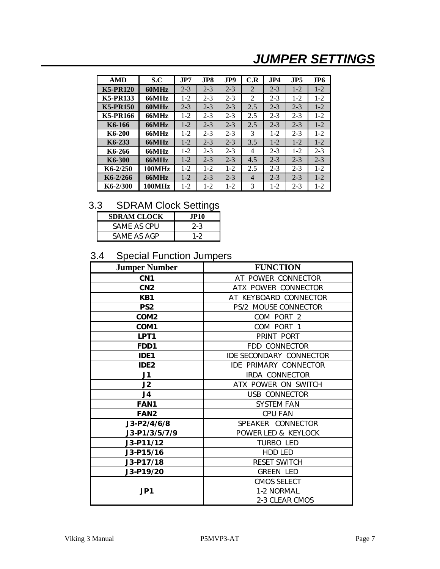# *JUMPER SETTINGS*

| <b>AMD</b>      | S.C           | JP7     | JP8.    | JP9     | C.R            | J <sub>P4</sub> | JP5     | JP <sub>6</sub> |
|-----------------|---------------|---------|---------|---------|----------------|-----------------|---------|-----------------|
| <b>K5-PR120</b> | 60MHz         | $2 - 3$ | $2 - 3$ | $2 - 3$ | 2              | $2 - 3$         | $1 - 2$ | $1 - 2$         |
| <b>K5-PR133</b> | 66MHz         | $1-2$   | $2 - 3$ | $2 - 3$ | 2              | $2 - 3$         | $1-2$   | $1-2$           |
| <b>K5-PR150</b> | 60MHz         | $2 - 3$ | $2 - 3$ | $2 - 3$ | 2.5            | $2 - 3$         | $2 - 3$ | $1 - 2$         |
| <b>K5-PR166</b> | 66MHz         | $1-2$   | $2 - 3$ | $2 - 3$ | 2.5            | $2 - 3$         | $2 - 3$ | $1 - 2$         |
| K6-166          | 66MHz         | $1-2$   | $2 - 3$ | $2 - 3$ | 2.5            | $2 - 3$         | $2 - 3$ | $1 - 2$         |
| K6-200          | 66MHz         | $1-2$   | $2 - 3$ | $2 - 3$ | 3              | $1-2$           | $2 - 3$ | $1 - 2$         |
| K6-233          | 66MHz         | $1-2$   | $2 - 3$ | $2 - 3$ | 3.5            | $1-2$           | $1 - 2$ | $1 - 2$         |
| K6-266          | 66MHz         | $1 - 2$ | $2 - 3$ | $2 - 3$ | 4              | $2 - 3$         | $1-2$   | $2 - 3$         |
| K6-300          | 66MHz         | $1 - 2$ | $2 - 3$ | $2 - 3$ | 4.5            | $2 - 3$         | $2 - 3$ | $2 - 3$         |
| $K6-2/250$      | <b>100MHz</b> | $1-2$   | $1-2$   | $1-2$   | 2.5            | $2 - 3$         | $2 - 3$ | $1 - 2$         |
| K6-2/266        | 66MHz         | $1 - 2$ | $2 - 3$ | $2 - 3$ | $\overline{4}$ | $2 - 3$         | $2 - 3$ | $1 - 2$         |
| K6-2/300        | <b>100MHz</b> | 1-2     | 1-2     | 1-2     | 3              | $1-2$           | $2 - 3$ | $1-2$           |

## 3.3 SDRAM Clock Settings

| <b>SDRAM CLOCK</b> | .TP10   |
|--------------------|---------|
| SAME AS CPU        | $2 - 3$ |
| SAME AS AGP        | 1-2     |

## 3.4 Special Function Jumpers

| <b>Jumper Number</b> | <b>FUNCTION</b>                |  |  |
|----------------------|--------------------------------|--|--|
| CN <sub>1</sub>      | AT POWER CONNECTOR             |  |  |
| CN <sub>2</sub>      | ATX POWER CONNECTOR            |  |  |
| KB1                  | AT KEYBOARD CONNECTOR          |  |  |
| PS <sub>2</sub>      | PS/2 MOUSE CONNECTOR           |  |  |
| COM <sub>2</sub>     | COM PORT 2                     |  |  |
| COM <sub>1</sub>     | COM PORT 1                     |  |  |
| LPT <sub>1</sub>     | PRINT PORT                     |  |  |
| FDD1                 | FDD CONNECTOR                  |  |  |
| IDE <sub>1</sub>     | <b>IDE SECONDARY CONNECTOR</b> |  |  |
| IDE <sub>2</sub>     | <b>IDE PRIMARY CONNECTOR</b>   |  |  |
| J1                   | <b>IRDA CONNECTOR</b>          |  |  |
| J2                   | ATX POWER ON SWITCH            |  |  |
| J4                   | USB CONNECTOR                  |  |  |
| <b>FAN1</b>          | <b>SYSTEM FAN</b>              |  |  |
| FAN <sub>2</sub>     | <b>CPU FAN</b>                 |  |  |
| J3-P2/4/6/8          | SPEAKER CONNECTOR              |  |  |
| J3-P1/3/5/7/9        | POWER LED & KEYLOCK            |  |  |
| J3-P11/12            | <b>TURBO LED</b>               |  |  |
| $J3 - P15/16$        | HDD LED                        |  |  |
| J3-P17/18            | <b>RESET SWITCH</b>            |  |  |
| $J3-P19/20$          | <b>GREEN LED</b>               |  |  |
|                      | <b>CMOS SELECT</b>             |  |  |
| JP <sub>1</sub>      | 1-2 NORMAL                     |  |  |
|                      | 2-3 CLEAR CMOS                 |  |  |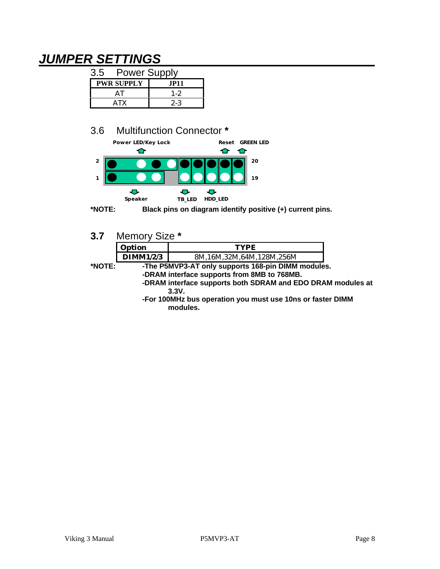# *JUMPER SETTINGS*

| 3.5 | <b>Power Supply</b> |         |  |  |  |
|-----|---------------------|---------|--|--|--|
|     | <b>PWR SUPPLY</b>   | .IP11   |  |  |  |
|     | ΔI                  | 1-2     |  |  |  |
|     | ATX                 | $2 - 3$ |  |  |  |

## 3.6 Multifunction Connector **\***



**\*NOTE: Black pins on diagram identify positive (+) current pins.**

| 3.7 | Memory Size * |  |
|-----|---------------|--|
|-----|---------------|--|

| Option    |                             |  |  |
|-----------|-----------------------------|--|--|
| DIMM1/2/3 | 16M,32M,64M,128M,256M<br>ЖM |  |  |

**\*NOTE: -The P5MVP3-AT only supports 168-pin DIMM modules. -DRAM interface supports from 8MB to 768MB. -DRAM interface supports both SDRAM and EDO DRAM modules at 3.3V.**

**-For 100MHz bus operation you must use 10ns or faster DIMM modules.**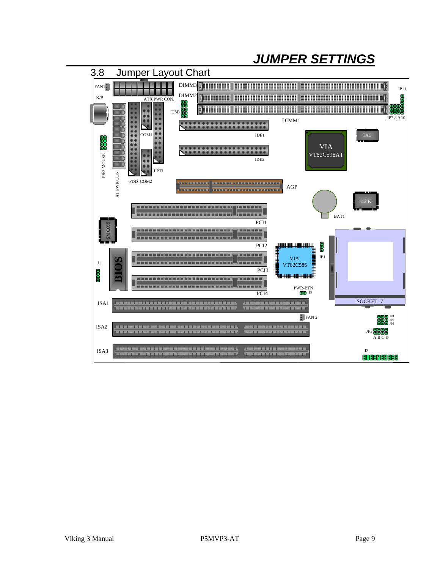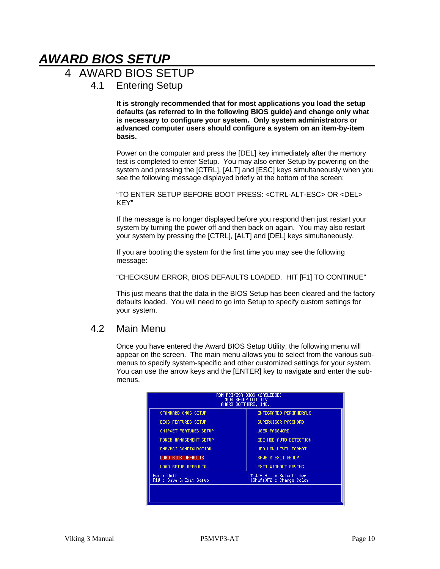# *AWARD BIOS SETUP*

## 4 AWARD BIOS SETUP

4.1 Entering Setup

**It is strongly recommended that for most applications you load the setup defaults (as referred to in the following BIOS guide) and change only what is necessary to configure your system. Only system administrators or advanced computer users should configure a system on an item-by-item basis.**

Power on the computer and press the [DEL] key immediately after the memory test is completed to enter Setup. You may also enter Setup by powering on the system and pressing the [CTRL], [ALT] and [ESC] keys simultaneously when you see the following message displayed briefly at the bottom of the screen:

"TO ENTER SETUP BEFORE BOOT PRESS: <CTRL-ALT-ESC> OR <DEL> KEY"

If the message is no longer displayed before you respond then just restart your system by turning the power off and then back on again. You may also restart your system by pressing the [CTRL], [ALT] and [DEL] keys simultaneously.

If you are booting the system for the first time you may see the following message:

"CHECKSUM ERROR, BIOS DEFAULTS LOADED. HIT [F1] TO CONTINUE"

This just means that the data in the BIOS Setup has been cleared and the factory defaults loaded. You will need to go into Setup to specify custom settings for your system.

### 4.2 Main Menu

Once you have entered the Award BIOS Setup Utility, the following menu will appear on the screen. The main menu allows you to select from the various submenus to specify system-specific and other customized settings for your system. You can use the arrow keys and the [ENTER] key to navigate and enter the submenus.

| ROM PCI/ISA BIOS (2A5LEE3E)<br>CHOS SETUP UTILITY<br>AHARD SOFTHARE, INC. |                                                        |  |  |  |  |
|---------------------------------------------------------------------------|--------------------------------------------------------|--|--|--|--|
| STANDARD CHOS SETUP                                                       | INTEGRATED PERIPHERALS                                 |  |  |  |  |
| <b>BIOS FEATURES SETUP</b>                                                | SUPERVISOR PASSHORD                                    |  |  |  |  |
| <b>CHIPSET FEATURES SETUP</b>                                             | USER PASSHORD                                          |  |  |  |  |
| POHER MANAGEMENT SETUP                                                    | IDE HDD AUTO DETECTION                                 |  |  |  |  |
| PNP/PCT CONFIGURATION                                                     | HDD LOW LEVEL FORMAT                                   |  |  |  |  |
| LOAD BIOS DEFAULTS                                                        | SAVE & EXIT SETUP                                      |  |  |  |  |
| LOAD SETUP DEFAULTS                                                       | <b>EXIT HITHOUT SAVING</b>                             |  |  |  |  |
| Esc : Ouit<br>F10 : Save & Exit Setup                                     | : Select Item<br>$T + + +$<br>(Shift)F2 : Change Color |  |  |  |  |
|                                                                           |                                                        |  |  |  |  |
|                                                                           |                                                        |  |  |  |  |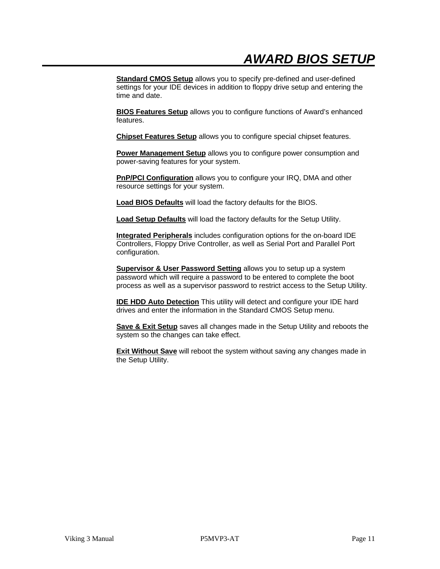**Standard CMOS Setup** allows you to specify pre-defined and user-defined settings for your IDE devices in addition to floppy drive setup and entering the time and date.

**BIOS Features Setup** allows you to configure functions of Award's enhanced features.

**Chipset Features Setup** allows you to configure special chipset features.

**Power Management Setup** allows you to configure power consumption and power-saving features for your system.

**PnP/PCI Configuration** allows you to configure your IRQ, DMA and other resource settings for your system.

**Load BIOS Defaults** will load the factory defaults for the BIOS.

**Load Setup Defaults** will load the factory defaults for the Setup Utility.

**Integrated Peripherals** includes configuration options for the on-board IDE Controllers, Floppy Drive Controller, as well as Serial Port and Parallel Port configuration.

**Supervisor & User Password Setting allows you to setup up a system** password which will require a password to be entered to complete the boot process as well as a supervisor password to restrict access to the Setup Utility.

**IDE HDD Auto Detection** This utility will detect and configure your IDE hard drives and enter the information in the Standard CMOS Setup menu.

**Save & Exit Setup** saves all changes made in the Setup Utility and reboots the system so the changes can take effect.

**Exit Without Save** will reboot the system without saving any changes made in the Setup Utility.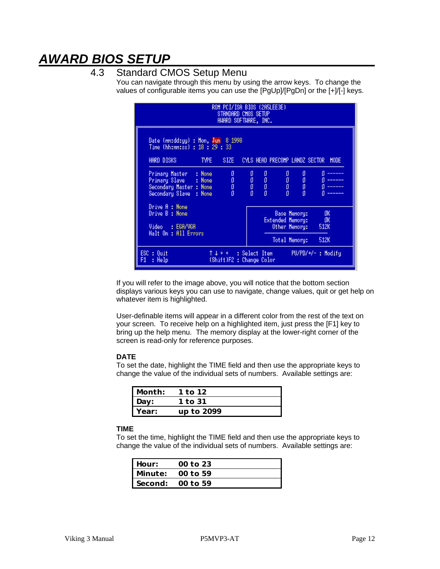# *AWARD BIOS SETUP*

### 4.3 Standard CMOS Setup Menu

You can navigate through this menu by using the arrow keys. To change the values of configurable items you can use the [PgUp]/[PgDn] or the [+]/[-] keys.

|                                                                                                       | STANDARD CHOS SETUP<br>AHARD SOFTHARE, INC. |                                                 | ROM PCI/ISA BIOS (2A5LEE3E)    |                                                                           |                            |
|-------------------------------------------------------------------------------------------------------|---------------------------------------------|-------------------------------------------------|--------------------------------|---------------------------------------------------------------------------|----------------------------|
| Date (nn:dd:yy) : Mon, Jun 8 1998<br>Time (hh:mm:ss) : 18 : 29 : 33<br>HARD DISKS<br>TYPE <b>1</b>    | SIZE -                                      |                                                 | CYLS HEAD PRECOMP LANDZ SECTOR |                                                                           | <b>HODE</b>                |
| : None<br>Primary Master<br>Primary Slave : None<br>Secondary Master : None<br>Secondary Slave : None | 0.<br>$0<\pi$<br>o<br>O                     | $\begin{array}{c} 0 \\ 0 \\ 0 \\ 0 \end{array}$ |                                | $\begin{matrix} 0&0\\0&0\\0&0\\0&0 \end{matrix}$                          |                            |
| Drive A : None<br>Drive B : None<br>Video : EGA/VGA<br>Halt On : All Errors                           |                                             |                                                 |                                | <b>Base Menory:</b><br>Extended Menory:<br>Other Memory:<br>Total Memory: | -OK<br>-OK<br>512K<br>512K |
| $ESC : 0$ uit<br>$\uparrow \downarrow \rightarrow \leftarrow$ : Select Item<br>F1.<br>: Help          | (Shift)F2 : Change Color                    |                                                 |                                |                                                                           | PU/PD/+/-: Hodify          |

If you will refer to the image above, you will notice that the bottom section displays various keys you can use to navigate, change values, quit or get help on whatever item is highlighted.

User-definable items will appear in a different color from the rest of the text on your screen. To receive help on a highlighted item, just press the [F1] key to bring up the help menu. The memory display at the lower-right corner of the screen is read-only for reference purposes.

#### **DATE**

To set the date, highlight the TIME field and then use the appropriate keys to change the value of the individual sets of numbers. Available settings are:

| . Month: | 1 to 12    |  |
|----------|------------|--|
| l Day:   | 1 to 31    |  |
| Year:    | up to 2099 |  |

#### **TIME**

To set the time, highlight the TIME field and then use the appropriate keys to change the value of the individual sets of numbers. Available settings are:

| Hour: | 00 to 23           |
|-------|--------------------|
|       | Minute: $00$ to 59 |
|       | Second: $00$ to 59 |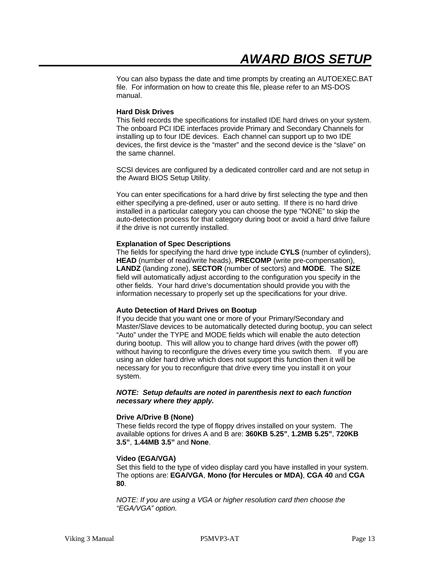You can also bypass the date and time prompts by creating an AUTOEXEC.BAT file. For information on how to create this file, please refer to an MS-DOS manual.

#### **Hard Disk Drives**

This field records the specifications for installed IDE hard drives on your system. The onboard PCI IDE interfaces provide Primary and Secondary Channels for installing up to four IDE devices. Each channel can support up to two IDE devices, the first device is the "master" and the second device is the "slave" on the same channel.

SCSI devices are configured by a dedicated controller card and are not setup in the Award BIOS Setup Utility.

You can enter specifications for a hard drive by first selecting the type and then either specifying a pre-defined, user or auto setting. If there is no hard drive installed in a particular category you can choose the type "NONE" to skip the auto-detection process for that category during boot or avoid a hard drive failure if the drive is not currently installed.

#### **Explanation of Spec Descriptions**

The fields for specifying the hard drive type include **CYLS** (number of cylinders), **HEAD** (number of read/write heads), **PRECOMP** (write pre-compensation), **LANDZ** (landing zone), **SECTOR** (number of sectors) and **MODE**. The **SIZE** field will automatically adjust according to the configuration you specify in the other fields. Your hard drive's documentation should provide you with the information necessary to properly set up the specifications for your drive.

#### **Auto Detection of Hard Drives on Bootup**

If you decide that you want one or more of your Primary/Secondary and Master/Slave devices to be automatically detected during bootup, you can select "Auto" under the TYPE and MODE fields which will enable the auto detection during bootup. This will allow you to change hard drives (with the power off) without having to reconfigure the drives every time you switch them. If you are using an older hard drive which does not support this function then it will be necessary for you to reconfigure that drive every time you install it on your system.

#### *NOTE: Setup defaults are noted in parenthesis next to each function necessary where they apply.*

#### **Drive A/Drive B (None)**

These fields record the type of floppy drives installed on your system. The available options for drives A and B are: **360KB 5.25"**, **1.2MB 5.25"**, **720KB 3.5"**, **1.44MB 3.5"** and **None**.

#### **Video (EGA/VGA)**

Set this field to the type of video display card you have installed in your system. The options are: **EGA/VGA**, **Mono (for Hercules or MDA)**, **CGA 40** and **CGA 80**.

*NOTE: If you are using a VGA or higher resolution card then choose the "EGA/VGA" option.*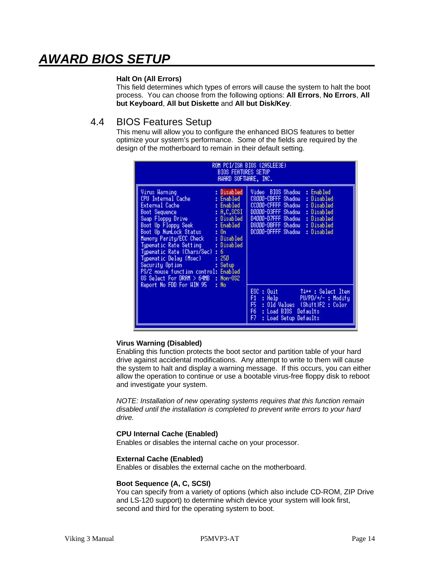# *AWARD BIOS SETUP*

#### **Halt On (All Errors)**

This field determines which types of errors will cause the system to halt the boot process. You can choose from the following options: **All Errors**, **No Errors**, **All but Keyboard**, **All but Diskette** and **All but Disk/Key**.

### 4.4 BIOS Features Setup

This menu will allow you to configure the enhanced BIOS features to better optimize your system's performance. Some of the fields are required by the design of the motherboard to remain in their default setting.

| <b>Virus Harning</b><br>: Disabled<br>BIOS Shadou<br>Video<br>: Enabled<br>: Enabled<br>CPU Internal Cache<br>C8000-CBFFF Shadou<br>: Disabled<br>CCOOO-CFFFF Shadou<br>External Cache<br>: Enabled<br>: Disabled<br>D0000-D3FFF Shadou<br>Boot Sequence : A,C,SCSI<br>Suap Floppy Drive : Disabled<br>Boot Up Floppy Seek : Enabled<br>: Disabled<br>D4000-D7FFF Shadou<br>: Disabled<br>D8000-DBFFF Shadou<br>: Disabled<br>Boot Up NunLock Status : On<br>DC000-DFFFF Shadou<br>: Disabled<br>Memory Parity/ECC Check : Disabled<br>Typenatic Rate Setting<br>: Disabled<br>Typenatic Rate (Chars/Sec) : 6<br>Typenatic Delay (Msec).<br>: 250<br>Security Option<br><b>Contract Contract</b><br>: Setup<br>PS/2 nouse function control: Enabled<br>OS Select For DRAM > 64MB : Non-0S2 |                                  | ROM PCI/ISA BIOS (2A5LEE3E)<br><b>BIOS FEATURES SETUP</b><br>AWARD SOFTWARE, INC. |
|--------------------------------------------------------------------------------------------------------------------------------------------------------------------------------------------------------------------------------------------------------------------------------------------------------------------------------------------------------------------------------------------------------------------------------------------------------------------------------------------------------------------------------------------------------------------------------------------------------------------------------------------------------------------------------------------------------------------------------------------------------------------------------------------|----------------------------------|-----------------------------------------------------------------------------------|
| ESC.<br>: Quit<br>TV <sup>+</sup> : Select Item<br>F1<br>PU/PD/+/-: Hodify<br>: Help<br>FS-<br>: Old Values (Shift)F2 : Color<br>F6.<br>: Load BIOS Defaults<br>F7<br>: Load Setup Defaults                                                                                                                                                                                                                                                                                                                                                                                                                                                                                                                                                                                                | Report No FDD For HIN 95<br>: No |                                                                                   |

#### **Virus Warning (Disabled)**

Enabling this function protects the boot sector and partition table of your hard drive against accidental modifications. Any attempt to write to them will cause the system to halt and display a warning message. If this occurs, you can either allow the operation to continue or use a bootable virus-free floppy disk to reboot and investigate your system.

*NOTE: Installation of new operating systems requires that this function remain disabled until the installation is completed to prevent write errors to your hard drive.*

#### **CPU Internal Cache (Enabled)**

Enables or disables the internal cache on your processor.

#### **External Cache (Enabled)**

Enables or disables the external cache on the motherboard.

#### **Boot Sequence (A, C, SCSI)**

You can specify from a variety of options (which also include CD-ROM, ZIP Drive and LS-120 support) to determine which device your system will look first, second and third for the operating system to boot.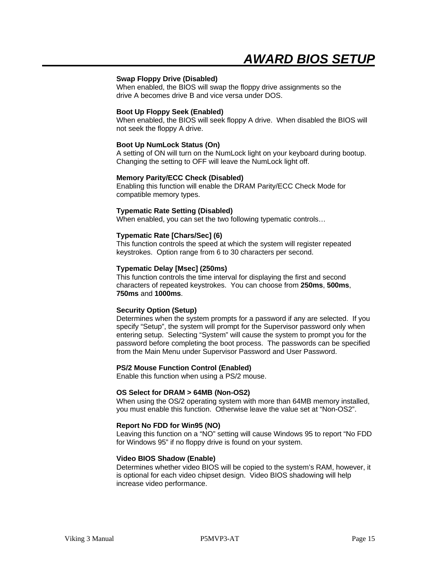#### **Swap Floppy Drive (Disabled)**

When enabled, the BIOS will swap the floppy drive assignments so the drive A becomes drive B and vice versa under DOS.

#### **Boot Up Floppy Seek (Enabled)**

When enabled, the BIOS will seek floppy A drive. When disabled the BIOS will not seek the floppy A drive.

#### **Boot Up NumLock Status (On)**

A setting of ON will turn on the NumLock light on your keyboard during bootup. Changing the setting to OFF will leave the NumLock light off.

#### **Memory Parity/ECC Check (Disabled)**

Enabling this function will enable the DRAM Parity/ECC Check Mode for compatible memory types.

#### **Typematic Rate Setting (Disabled)**

When enabled, you can set the two following typematic controls…

#### **Typematic Rate [Chars/Sec] (6)**

This function controls the speed at which the system will register repeated keystrokes. Option range from 6 to 30 characters per second.

#### **Typematic Delay [Msec] (250ms)**

This function controls the time interval for displaying the first and second characters of repeated keystrokes. You can choose from **250ms**, **500ms**, **750ms** and **1000ms**.

#### **Security Option (Setup)**

Determines when the system prompts for a password if any are selected. If you specify "Setup", the system will prompt for the Supervisor password only when entering setup. Selecting "System" will cause the system to prompt you for the password before completing the boot process. The passwords can be specified from the Main Menu under Supervisor Password and User Password.

#### **PS/2 Mouse Function Control (Enabled)**

Enable this function when using a PS/2 mouse.

#### **OS Select for DRAM > 64MB (Non-OS2)**

When using the OS/2 operating system with more than 64MB memory installed, you must enable this function. Otherwise leave the value set at "Non-OS2".

#### **Report No FDD for Win95 (NO)**

Leaving this function on a "NO" setting will cause Windows 95 to report "No FDD for Windows 95" if no floppy drive is found on your system.

#### **Video BIOS Shadow (Enable)**

Determines whether video BIOS will be copied to the system's RAM, however, it is optional for each video chipset design. Video BIOS shadowing will help increase video performance.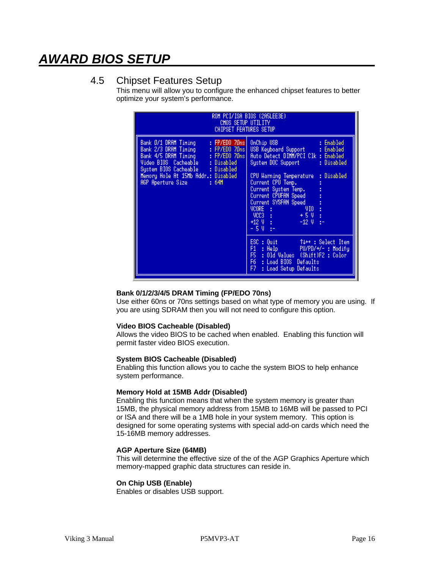# *AWARD BIOS SETUP*

### 4.5 Chipset Features Setup

This menu will allow you to configure the enhanced chipset features to better optimize your system's performance.

| ROM PCI/ISA BIOS (2A5LEE3E)<br>CHOS SETUP UTILITY<br><b>CHIPSET FEATURES SETUP</b>                                                                                                                                                                                         |                                                                                                                                                                                                                                                                                                                                                                  |  |  |  |  |
|----------------------------------------------------------------------------------------------------------------------------------------------------------------------------------------------------------------------------------------------------------------------------|------------------------------------------------------------------------------------------------------------------------------------------------------------------------------------------------------------------------------------------------------------------------------------------------------------------------------------------------------------------|--|--|--|--|
| $:$ FP/EDO 70 $ns$<br>Bank 0/1 DRAM Tining<br>Bank 2/3 DRAM Tining<br>Bank 4/5 DRAM Tining<br>Wideo BIOS Cacheable : Disabled<br>System BIOS Cacheable : Disabled<br>System BIOS Cacheable : Disabled<br>Henory Hole At 15Hb Addr.: Disabled<br>AGP Aperture Size<br>: 64M | OnChip USB<br>: Enabled<br>USB Keyboard Support : Enabled<br>Auto Detect DIMM/PCI Clk : Enabled<br>System DOC Support : Disabled<br>CPU Harning Temperature : Disabled<br>Current CPU Temp.<br>Current System Temp.<br>Current CPUFAN Speed<br>Current SYSFAN Speed<br>VCORE :<br>Nors :<br>VIO -<br>$VCC3$ :<br>+12 V :<br>$+5V$ :<br>ģ÷<br>$-12V$<br>$-50 + -$ |  |  |  |  |
|                                                                                                                                                                                                                                                                            | $ESC : 0$ uit $\qquad \qquad$<br>Ture: Select Item<br>F1<br>: Help PU/PD/+/- : Modify<br>F5 : Old Values (Shift)F2 : Color<br>F6 : Load BIOS Defaults<br>F7 -<br>: Load Setup Defaults                                                                                                                                                                           |  |  |  |  |

#### **Bank 0/1/2/3/4/5 DRAM Timing (FP/EDO 70ns)**

Use either 60ns or 70ns settings based on what type of memory you are using. If you are using SDRAM then you will not need to configure this option.

#### **Video BIOS Cacheable (Disabled)**

Allows the video BIOS to be cached when enabled. Enabling this function will permit faster video BIOS execution.

#### **System BIOS Cacheable (Disabled)**

Enabling this function allows you to cache the system BIOS to help enhance system performance.

#### **Memory Hold at 15MB Addr (Disabled)**

Enabling this function means that when the system memory is greater than 15MB, the physical memory address from 15MB to 16MB will be passed to PCI or ISA and there will be a 1MB hole in your system memory. This option is designed for some operating systems with special add-on cards which need the 15-16MB memory addresses.

#### **AGP Aperture Size (64MB)**

This will determine the effective size of the of the AGP Graphics Aperture which memory-mapped graphic data structures can reside in.

#### **On Chip USB (Enable)**

Enables or disables USB support.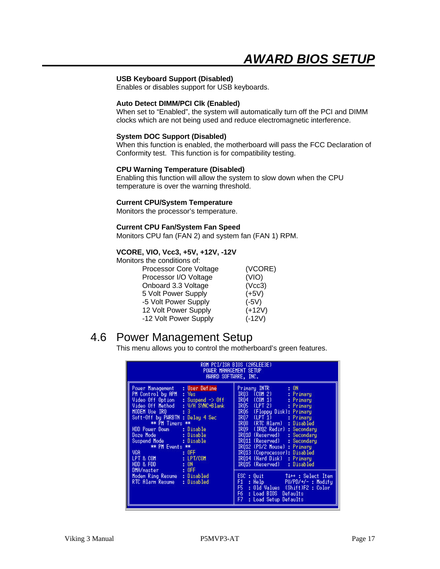#### **USB Keyboard Support (Disabled)**

Enables or disables support for USB keyboards.

#### **Auto Detect DIMM/PCI Clk (Enabled)**

When set to "Enabled", the system will automatically turn off the PCI and DIMM clocks which are not being used and reduce electromagnetic interference.

#### **System DOC Support (Disabled)**

When this function is enabled, the motherboard will pass the FCC Declaration of Conformity test. This function is for compatibility testing.

#### **CPU Warning Temperature (Disabled)**

Enabling this function will allow the system to slow down when the CPU temperature is over the warning threshold.

#### **Current CPU/System Temperature**

Monitors the processor's temperature.

#### **Current CPU Fan/System Fan Speed**

Monitors CPU fan (FAN 2) and system fan (FAN 1) RPM.

#### **VCORE, VIO, Vcc3, +5V, +12V, -12V**

Monitors the conditions of:

| Processor Core Voltage | (VCORE)  |
|------------------------|----------|
| Processor I/O Voltage  | (VIO)    |
| Onboard 3.3 Voltage    | (Vcc3)   |
| 5 Volt Power Supply    | $(+5V)$  |
| -5 Volt Power Supply   | $(-5V)$  |
| 12 Volt Power Supply   | $(+12V)$ |
| -12 Volt Power Supply  | $(-12V)$ |

## 4.6 Power Management Setup

This menu allows you to control the motherboard's green features.

| ROM PCI/ISA BIOS (2A5LEE3E)<br>POHER MANAGEMENT SETUP<br>AWARD SOFTWARE, INC.                                                                                                                                                                                                                                                                                                                                                                                      |                                                                                                                                                                                                                                                                                                                                                                                                                                                                                                                                                                                                                                             |  |  |  |
|--------------------------------------------------------------------------------------------------------------------------------------------------------------------------------------------------------------------------------------------------------------------------------------------------------------------------------------------------------------------------------------------------------------------------------------------------------------------|---------------------------------------------------------------------------------------------------------------------------------------------------------------------------------------------------------------------------------------------------------------------------------------------------------------------------------------------------------------------------------------------------------------------------------------------------------------------------------------------------------------------------------------------------------------------------------------------------------------------------------------------|--|--|--|
| Power Management<br>: User Define<br>: Yes<br>PH Control by APH.<br>Video Off Option<br>$:$ Suspend $\rightarrow$ Off<br>Video Off Hethod<br>: V/H SYNC+Blank<br>MODEM Use IRO <b>MODEM</b><br>: 3<br>Soft-Off by PHRBTN : Delay 4 Sec<br>** PH Tiners **<br>HDD Power Down Disable<br>** PH Events **<br>VGA:<br>: 0FE<br>LPT & COM<br>: LPT/COM<br>: 0N<br>HDD & FDD ==<br>: 0FF<br>DHA/master<br>Moden Ring Resume : Disabled<br>RTC Alarn Resune<br>: Disabled | Primary INTR –<br>: ON<br>IRO3 (COM 2) -<br>: Primary<br>IR04 (COM 1)<br>: Primaru<br>IRO5 (LPT 2)<br>: Primaru<br>IRQ6 (Floppy Disk): Primary<br>IR07<br>$(LPT_1)$<br>: Primary<br>IRO8 (RTC Alarn) : Disabled<br>IRO9 (IRO2 Redir)<br>: Secondaru<br>IR010 (Reserved)<br>: Secondary<br>IRQ11 (Reserved)<br>: Secondary<br>IR012 (PS/2 Mouse) : Primary<br>IR013 (Coprocessor): Disabled<br>IRO14 (Hard Disk)<br>: Primary<br>IR015 (Reserved)<br>: Disabled<br>$ESC : 0$ uit<br>→ ↑↓→← : Select Item<br>F1.<br>: Help PU/PD/+/- : Modify<br>F5 : Old Values (Shift)F2 : Color<br>F6 : Load BIOS Defaults<br>F7.<br>: Load Setup Defaults |  |  |  |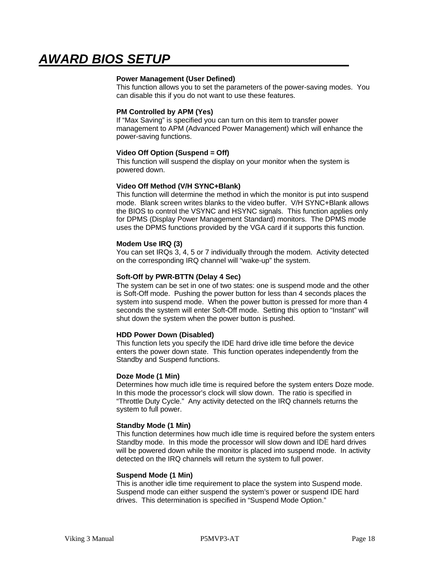#### **Power Management (User Defined)**

This function allows you to set the parameters of the power-saving modes. You can disable this if you do not want to use these features.

#### **PM Controlled by APM (Yes)**

If "Max Saving" is specified you can turn on this item to transfer power management to APM (Advanced Power Management) which will enhance the power-saving functions.

#### **Video Off Option (Suspend = Off)**

This function will suspend the display on your monitor when the system is powered down.

#### **Video Off Method (V/H SYNC+Blank)**

This function will determine the method in which the monitor is put into suspend mode. Blank screen writes blanks to the video buffer. V/H SYNC+Blank allows the BIOS to control the VSYNC and HSYNC signals. This function applies only for DPMS (Display Power Management Standard) monitors. The DPMS mode uses the DPMS functions provided by the VGA card if it supports this function.

#### **Modem Use IRQ (3)**

You can set IRQs 3, 4, 5 or 7 individually through the modem. Activity detected on the corresponding IRQ channel will "wake-up" the system.

#### **Soft-Off by PWR-BTTN (Delay 4 Sec)**

The system can be set in one of two states: one is suspend mode and the other is Soft-Off mode. Pushing the power button for less than 4 seconds places the system into suspend mode. When the power button is pressed for more than 4 seconds the system will enter Soft-Off mode. Setting this option to "Instant" will shut down the system when the power button is pushed.

#### **HDD Power Down (Disabled)**

This function lets you specify the IDE hard drive idle time before the device enters the power down state. This function operates independently from the Standby and Suspend functions.

#### **Doze Mode (1 Min)**

Determines how much idle time is required before the system enters Doze mode. In this mode the processor's clock will slow down. The ratio is specified in "Throttle Duty Cycle." Any activity detected on the IRQ channels returns the system to full power.

#### **Standby Mode (1 Min)**

This function determines how much idle time is required before the system enters Standby mode. In this mode the processor will slow down and IDE hard drives will be powered down while the monitor is placed into suspend mode. In activity detected on the IRQ channels will return the system to full power.

#### **Suspend Mode (1 Min)**

This is another idle time requirement to place the system into Suspend mode. Suspend mode can either suspend the system's power or suspend IDE hard drives. This determination is specified in "Suspend Mode Option."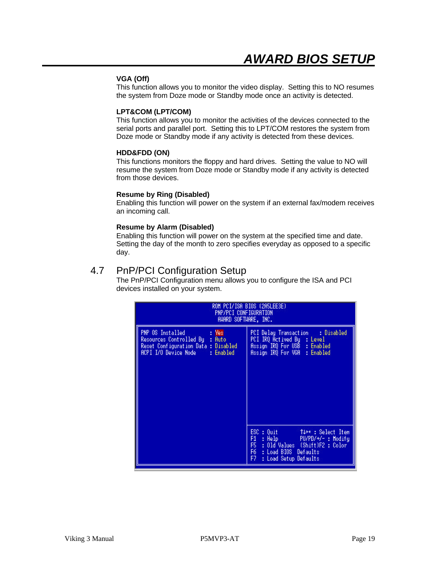#### **VGA (Off)**

This function allows you to monitor the video display. Setting this to NO resumes the system from Doze mode or Standby mode once an activity is detected.

#### **LPT&COM (LPT/COM)**

This function allows you to monitor the activities of the devices connected to the serial ports and parallel port. Setting this to LPT/COM restores the system from Doze mode or Standby mode if any activity is detected from these devices.

#### **HDD&FDD (ON)**

This functions monitors the floppy and hard drives. Setting the value to NO will resume the system from Doze mode or Standby mode if any activity is detected from those devices.

#### **Resume by Ring (Disabled)**

Enabling this function will power on the system if an external fax/modem receives an incoming call.

#### **Resume by Alarm (Disabled)**

Enabling this function will power on the system at the specified time and date. Setting the day of the month to zero specifies everyday as opposed to a specific day.

### 4.7 PnP/PCI Configuration Setup

The PnP/PCI Configuration menu allows you to configure the ISA and PCI devices installed on your system.

| ROM PCI/ISA BIOS (2A5LEE3E)<br>PNP/PCI CONFIGURATION<br>AWARD SOFTWARE, INC.                                                            |                                                                                                                                                                                        |  |  |  |
|-----------------------------------------------------------------------------------------------------------------------------------------|----------------------------------------------------------------------------------------------------------------------------------------------------------------------------------------|--|--|--|
| PNP OS Installed<br>: Yes<br>Resources Controlled By : Auto<br>Reset Configuration Data : Disabled<br>ACPI I/O Device Node<br>: Enabled | : Disabled<br>PCI Delay Transaction<br>PCI IRQ Actived By : Level<br>Assign IRQ For USB : Enabled<br>Assign IRQ For VGA : Enabled                                                      |  |  |  |
|                                                                                                                                         | $ESC : 0$ uit $\qquad$<br>Tilt: Select Item<br>F1.<br>: Help PU/PD/+/- : Modify<br>: Old Values (Shift)F2 : Color<br>F5<br>F6.<br>: Load BIOS Defaults<br>F7.<br>: Load Setup Defaults |  |  |  |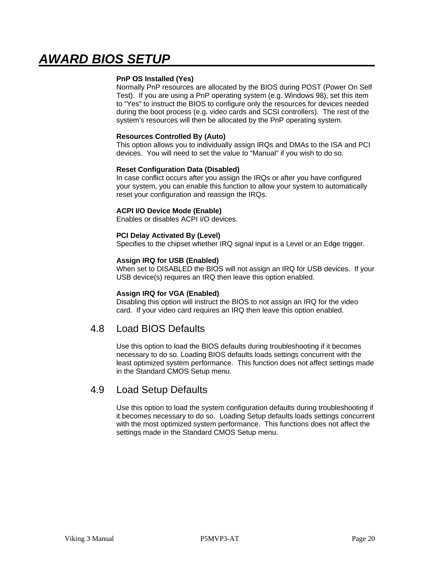#### **PnP OS Installed (Yes)**

Normally PnP resources are allocated by the BIOS during POST (Power On Self Test). If you are using a PnP operating system (e.g. Windows 98), set this item to "Yes" to instruct the BIOS to configure only the resources for devices needed during the boot process (e.g. video cards and SCSI controllers). The rest of the system's resources will then be allocated by the PnP operating system.

#### **Resources Controlled By (Auto)**

This option allows you to individually assign IRQs and DMAs to the ISA and PCI devices. You will need to set the value to "Manual" if you wish to do so.

#### **Reset Configuration Data (Disabled)**

In case conflict occurs after you assign the IRQs or after you have configured your system, you can enable this function to allow your system to automatically reset your configuration and reassign the IRQs.

#### **ACPI I/O Device Mode (Enable)**

Enables or disables ACPI I/O devices.

#### **PCI Delay Activated By (Level)**

Specifies to the chipset whether IRQ signal input is a Level or an Edge trigger.

#### **Assign IRQ for USB (Enabled)**

When set to DISABLED the BIOS will not assign an IRQ for USB devices. If your USB device(s) requires an IRQ then leave this option enabled.

#### **Assign IRQ for VGA (Enabled)**

Disabling this option will instruct the BIOS to not assign an IRQ for the video card. If your video card requires an IRQ then leave this option enabled.

### 4.8 Load BIOS Defaults

Use this option to load the BIOS defaults during troubleshooting if it becomes necessary to do so. Loading BIOS defaults loads settings concurrent with the least optimized system performance. This function does not affect settings made in the Standard CMOS Setup menu.

### 4.9 Load Setup Defaults

Use this option to load the system configuration defaults during troubleshooting if it becomes necessary to do so. Loading Setup defaults loads settings concurrent with the most optimized system performance. This functions does not affect the settings made in the Standard CMOS Setup menu.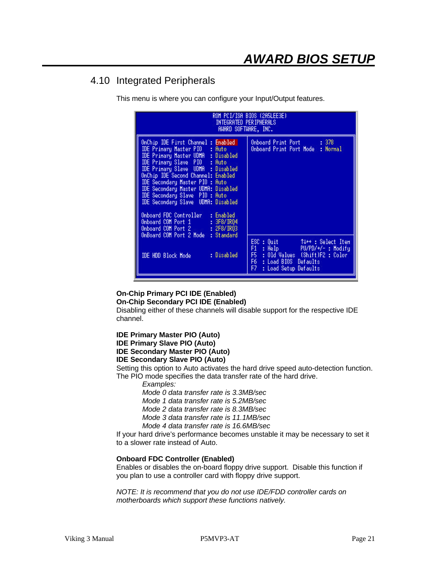## 4.10 Integrated Peripherals

This menu is where you can configure your Input/Output features.

| ROM PCI/ISA BIOS (2A5LEE3E)<br>Integrated Peripherals<br>AWARD SOFTWARE, INC.                                                                                                                                                                                                                                                                                                                                                                                                                                                          |                                                                                                                                                                                                     |  |  |  |  |
|----------------------------------------------------------------------------------------------------------------------------------------------------------------------------------------------------------------------------------------------------------------------------------------------------------------------------------------------------------------------------------------------------------------------------------------------------------------------------------------------------------------------------------------|-----------------------------------------------------------------------------------------------------------------------------------------------------------------------------------------------------|--|--|--|--|
| OnChip IDE First Channel : Enabled<br>IDE Primary Master PIO : Auto<br><b>IDE Primary Master UDMA : Disabled</b><br>IDE Primary Slave PIO : Auto<br><b>IDE Primary Slave UDMA : Disabled</b><br>OnChip IDE Second Channel: Enabled<br>IDE Secondary Master PIO : Auto<br>IDE Secondary Master UDMA: Disabled<br>IDE Secondary Slave PIO : Auto<br>IDE Secondary Slave UDMA: Disabled<br>Onboard FDC Controller<br>: Enabled<br>Onboard COM Port 1 : 3F8/IRQ4<br>Onboard COM Port 2 : 2F8/IRQ3<br>OnBoard COM Port 2 Mode<br>: Standard | Onboard Print Port : 378<br>Onboard Print Port Mode : Normal                                                                                                                                        |  |  |  |  |
| : Disabled<br><b>IDE HDD Block Mode</b>                                                                                                                                                                                                                                                                                                                                                                                                                                                                                                | ESC : Quit<br>$\uparrow \downarrow \rightarrow \cdot$ : Select Item<br>F1 : Help PU/PD/+/- : Modify<br>F5 : Old Values (Shift)F2 : Color<br>F6 : Load BIOS Defaults<br>F7.<br>: Load Setup Defaults |  |  |  |  |

**On-Chip Primary PCI IDE (Enabled)**

**On-Chip Secondary PCI IDE (Enabled)**

Disabling either of these channels will disable support for the respective IDE channel.

**IDE Primary Master PIO (Auto) IDE Primary Slave PIO (Auto)**

## **IDE Secondary Master PIO (Auto)**

### **IDE Secondary Slave PIO (Auto)**

Setting this option to Auto activates the hard drive speed auto-detection function. The PIO mode specifies the data transfer rate of the hard drive.

*Examples:*

*Mode 0 data transfer rate is 3.3MB/sec*

*Mode 1 data transfer rate is 5.2MB/sec*

*Mode 2 data transfer rate is 8.3MB/sec*

*Mode 3 data transfer rate is 11.1MB/sec*

*Mode 4 data transfer rate is 16.6MB/sec*

If your hard drive's performance becomes unstable it may be necessary to set it to a slower rate instead of Auto.

#### **Onboard FDC Controller (Enabled)**

Enables or disables the on-board floppy drive support. Disable this function if you plan to use a controller card with floppy drive support.

*NOTE: It is recommend that you do not use IDE/FDD controller cards on motherboards which support these functions natively.*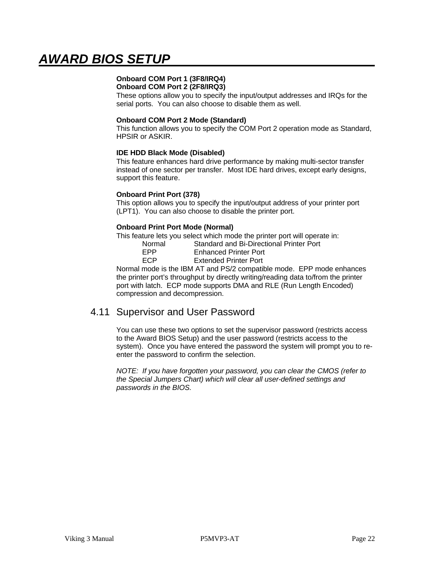## **Onboard COM Port 1 (3F8/IRQ4)**

**Onboard COM Port 2 (2F8/IRQ3)**

These options allow you to specify the input/output addresses and IRQs for the serial ports. You can also choose to disable them as well.

#### **Onboard COM Port 2 Mode (Standard)**

This function allows you to specify the COM Port 2 operation mode as Standard, HPSIR or ASKIR.

#### **IDE HDD Black Mode (Disabled)**

This feature enhances hard drive performance by making multi-sector transfer instead of one sector per transfer. Most IDE hard drives, except early designs, support this feature.

#### **Onboard Print Port (378)**

This option allows you to specify the input/output address of your printer port (LPT1). You can also choose to disable the printer port.

#### **Onboard Print Port Mode (Normal)**

This feature lets you select which mode the printer port will operate in:

| Normal     | Standard and Bi-Directional Printer Port |
|------------|------------------------------------------|
| <b>FPP</b> | <b>Enhanced Printer Port</b>             |
| <b>FCP</b> | <b>Extended Printer Port</b>             |

Normal mode is the IBM AT and PS/2 compatible mode. EPP mode enhances the printer port's throughput by directly writing/reading data to/from the printer port with latch. ECP mode supports DMA and RLE (Run Length Encoded) compression and decompression.

### 4.11 Supervisor and User Password

You can use these two options to set the supervisor password (restricts access to the Award BIOS Setup) and the user password (restricts access to the system). Once you have entered the password the system will prompt you to reenter the password to confirm the selection.

*NOTE: If you have forgotten your password, you can clear the CMOS (refer to the Special Jumpers Chart) which will clear all user-defined settings and passwords in the BIOS.*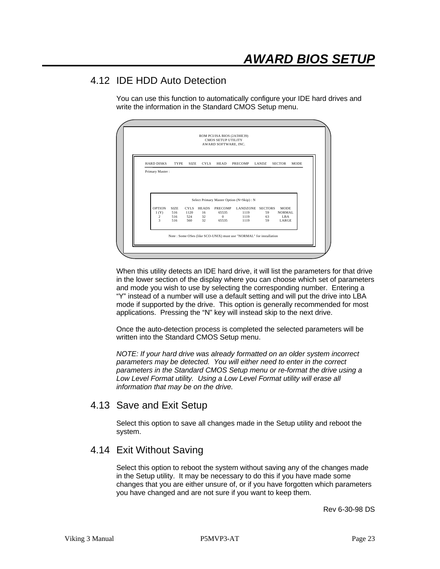## 4.12 IDE HDD Auto Detection

You can use this function to automatically configure your IDE hard drives and write the information in the Standard CMOS Setup menu.

|                   |             |             |              | <b>CMOS SETUP UTILITY</b><br>AWARD SOFTWARE, INC. |                                           |          |                     |             |
|-------------------|-------------|-------------|--------------|---------------------------------------------------|-------------------------------------------|----------|---------------------|-------------|
| <b>HARD DISKS</b> | <b>TYPE</b> | <b>SIZE</b> | <b>CYLS</b>  | HEAD                                              | PRECOMP                                   | LANDZ    | <b>SECTOR</b>       | <b>MODE</b> |
| Primary Master:   |             |             |              |                                                   |                                           |          |                     |             |
|                   |             |             |              |                                                   |                                           |          |                     |             |
|                   |             |             |              |                                                   |                                           |          |                     |             |
|                   |             |             |              |                                                   |                                           |          |                     |             |
|                   |             |             |              |                                                   |                                           |          |                     |             |
|                   |             |             |              |                                                   | Select Primary Master Option (N=Skip) : N |          |                     |             |
| <b>OPTION</b>     | SIZE.       | CYLS.       | <b>HEADS</b> | <b>PRECOMP</b>                                    | LANDZONE SECTORS                          |          | <b>MODE</b>         |             |
| 1(Y)              | 516         | 1120        | 16           | 65535                                             | 1119                                      | 59       | <b>NORMAL</b>       |             |
| 2<br>$\mathbf{3}$ | 516<br>516  | 524<br>560  | 32<br>32     | $\Omega$<br>65535                                 | 1119<br>1119                              | 63<br>59 | <b>LBA</b><br>LARGE |             |
|                   |             |             |              |                                                   |                                           |          |                     |             |

When this utility detects an IDE hard drive, it will list the parameters for that drive in the lower section of the display where you can choose which set of parameters and mode you wish to use by selecting the corresponding number. Entering a "Y" instead of a number will use a default setting and will put the drive into LBA mode if supported by the drive. This option is generally recommended for most applications. Pressing the "N" key will instead skip to the next drive.

Once the auto-detection process is completed the selected parameters will be written into the Standard CMOS Setup menu.

*NOTE: If your hard drive was already formatted on an older system incorrect parameters may be detected. You will either need to enter in the correct parameters in the Standard CMOS Setup menu or re-format the drive using a Low Level Format utility. Using a Low Level Format utility will erase all information that may be on the drive.*

## 4.13 Save and Exit Setup

Select this option to save all changes made in the Setup utility and reboot the system.

## 4.14 Exit Without Saving

Select this option to reboot the system without saving any of the changes made in the Setup utility. It may be necessary to do this if you have made some changes that you are either unsure of, or if you have forgotten which parameters you have changed and are not sure if you want to keep them.

Rev 6-30-98 DS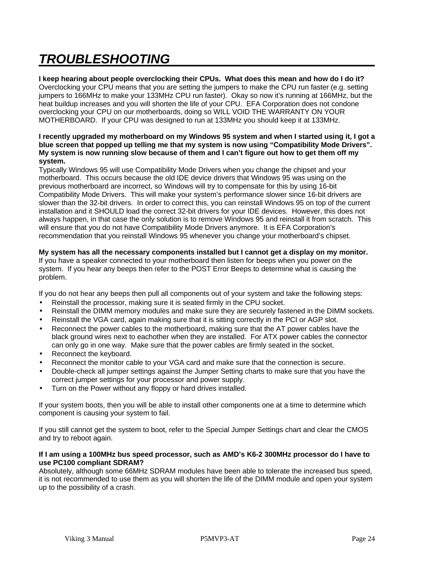# *TROUBLESHOOTING*

**I keep hearing about people overclocking their CPUs. What does this mean and how do I do it?** Overclocking your CPU means that you are setting the jumpers to make the CPU run faster (e.g. setting jumpers to 166MHz to make your 133MHz CPU run faster). Okay so now it's running at 166MHz, but the heat buildup increases and you will shorten the life of your CPU. EFA Corporation does not condone overclocking your CPU on our motherboards, doing so WILL VOID THE WARRANTY ON YOUR MOTHERBOARD. If your CPU was designed to run at 133MHz you should keep it at 133MHz.

#### **I recently upgraded my motherboard on my Windows 95 system and when I started using it, I got a blue screen that popped up telling me that my system is now using "Compatibility Mode Drivers". My system is now running slow because of them and I can't figure out how to get them off my system.**

Typically Windows 95 will use Compatibility Mode Drivers when you change the chipset and your motherboard. This occurs because the old IDE device drivers that Windows 95 was using on the previous motherboard are incorrect, so Windows will try to compensate for this by using 16-bit Compatibility Mode Drivers. This will make your system's performance slower since 16-bit drivers are slower than the 32-bit drivers. In order to correct this, you can reinstall Windows 95 on top of the current installation and it SHOULD load the correct 32-bit drivers for your IDE devices. However, this does not always happen, in that case the only solution is to remove Windows 95 and reinstall it from scratch. This will ensure that you do not have Compatibility Mode Drivers anymore. It is EFA Corporation's recommendation that you reinstall Windows 95 whenever you change your motherboard's chipset.

#### **My system has all the necessary components installed but I cannot get a display on my monitor.**

If you have a speaker connected to your motherboard then listen for beeps when you power on the system. If you hear any beeps then refer to the POST Error Beeps to determine what is causing the problem.

If you do not hear any beeps then pull all components out of your system and take the following steps:

- Reinstall the processor, making sure it is seated firmly in the CPU socket.
- Reinstall the DIMM memory modules and make sure they are securely fastened in the DIMM sockets.
- Reinstall the VGA card, again making sure that it is sitting correctly in the PCI or AGP slot.
- Reconnect the power cables to the motherboard, making sure that the AT power cables have the black ground wires next to eachother when they are installed. For ATX power cables the connector can only go in one way. Make sure that the power cables are firmly seated in the socket.
- Reconnect the keyboard.
- Reconnect the monitor cable to your VGA card and make sure that the connection is secure.
- Double-check all jumper settings against the Jumper Setting charts to make sure that you have the correct jumper settings for your processor and power supply.
- Turn on the Power without any floppy or hard drives installed.

If your system boots, then you will be able to install other components one at a time to determine which component is causing your system to fail.

If you still cannot get the system to boot, refer to the Special Jumper Settings chart and clear the CMOS and try to reboot again.

#### **If I am using a 100MHz bus speed processor, such as AMD's K6-2 300MHz processor do I have to use PC100 compliant SDRAM?**

Absolutely, although some 66MHz SDRAM modules have been able to tolerate the increased bus speed, it is not recommended to use them as you will shorten the life of the DIMM module and open your system up to the possibility of a crash.